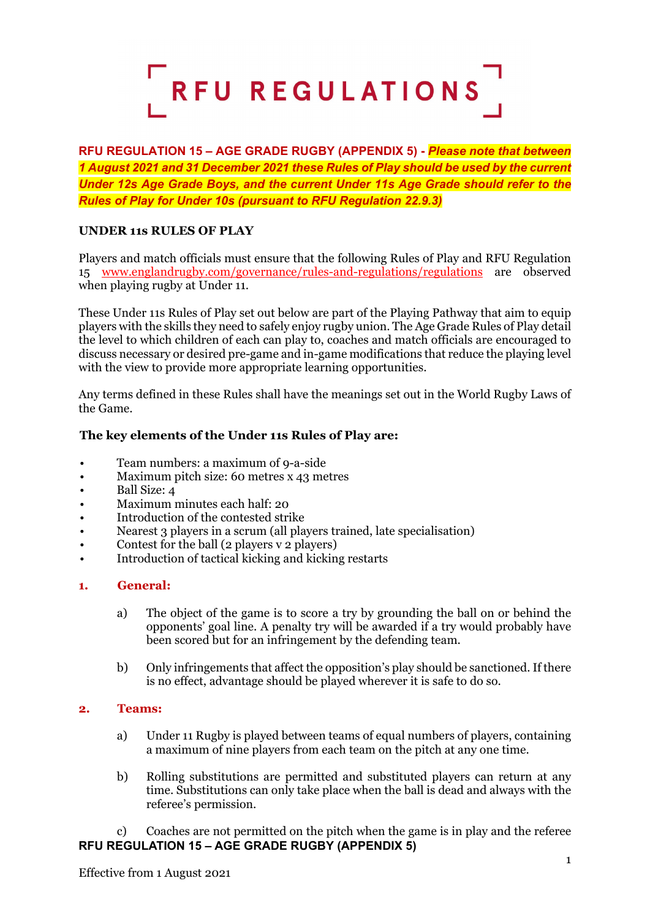

**RFU REGULATION 15 – AGE GRADE RUGBY (APPENDIX 5) -** *Please note that between 1 August 2021 and 31 December 2021 these Rules of Play should be used by the current Under 12s Age Grade Boys, and the current Under 11s Age Grade should refer to the Rules of Play for Under 10s (pursuant to RFU Regulation 22.9.3)*

# **UNDER 11s RULES OF PLAY**

Players and match officials must ensure that the following Rules of Play and RFU Regulation 15 [www.englandrugby.com/governance/rules-and-regulations/regulations](http://www.englandrugby.com/governance/rules-and-regulations/regulations) are observed when playing rugby at Under 11.

These Under 11s Rules of Play set out below are part of the Playing Pathway that aim to equip players with the skills they need to safely enjoy rugby union. The Age Grade Rules of Play detail the level to which children of each can play to, coaches and match officials are encouraged to discuss necessary or desired pre-game and in-game modifications that reduce the playing level with the view to provide more appropriate learning opportunities.

Any terms defined in these Rules shall have the meanings set out in the World Rugby Laws of the Game.

### **The key elements of the Under 11s Rules of Play are:**

- Team numbers: a maximum of 9-a-side
- Maximum pitch size: 60 metres x 43 metres
- Ball Size: 4
- Maximum minutes each half: 20
- Introduction of the contested strike
- Nearest 3 players in a scrum (all players trained, late specialisation)
- Contest for the ball  $(2 \text{ players } y \text{ 2 players})$
- Introduction of tactical kicking and kicking restarts

#### **1. General:**

- a) The object of the game is to score a try by grounding the ball on or behind the opponents' goal line. A penalty try will be awarded if a try would probably have been scored but for an infringement by the defending team.
- b) Only infringements that affect the opposition's play should be sanctioned. If there is no effect, advantage should be played wherever it is safe to do so.

#### **2. Teams:**

- a) Under 11 Rugby is played between teams of equal numbers of players, containing a maximum of nine players from each team on the pitch at any one time.
- b) Rolling substitutions are permitted and substituted players can return at any time. Substitutions can only take place when the ball is dead and always with the referee's permission.

**RFU REGULATION 15 – AGE GRADE RUGBY (APPENDIX 5)** c) Coaches are not permitted on the pitch when the game is in play and the referee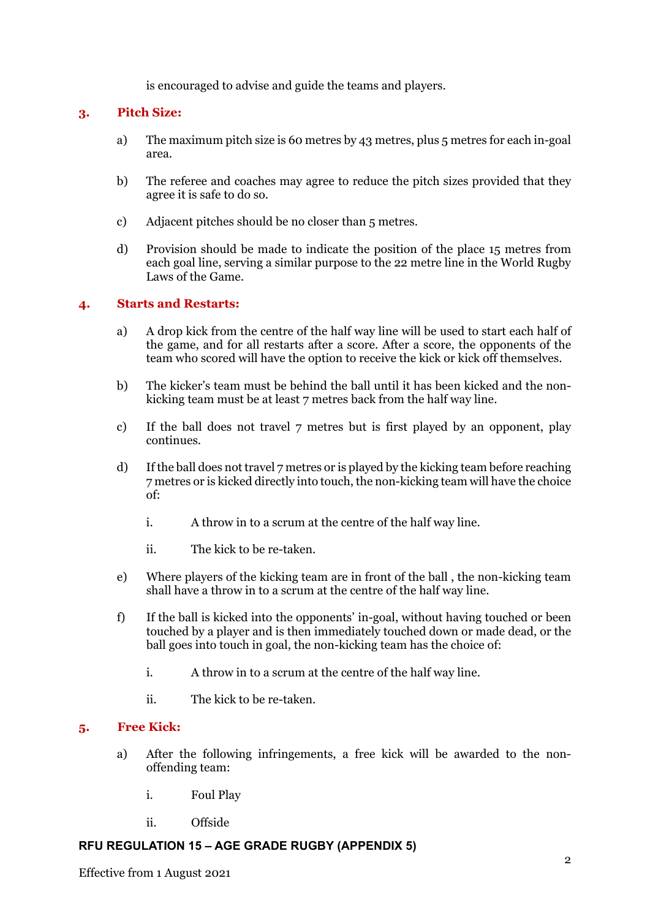is encouraged to advise and guide the teams and players.

## **3. Pitch Size:**

- a) The maximum pitch size is 60 metres by 43 metres, plus 5 metres for each in-goal area.
- b) The referee and coaches may agree to reduce the pitch sizes provided that they agree it is safe to do so.
- c) Adjacent pitches should be no closer than 5 metres.
- d) Provision should be made to indicate the position of the place 15 metres from each goal line, serving a similar purpose to the 22 metre line in the World Rugby Laws of the Game.

### **4. Starts and Restarts:**

- a) A drop kick from the centre of the half way line will be used to start each half of the game, and for all restarts after a score. After a score, the opponents of the team who scored will have the option to receive the kick or kick off themselves.
- b) The kicker's team must be behind the ball until it has been kicked and the nonkicking team must be at least 7 metres back from the half way line.
- c) If the ball does not travel 7 metres but is first played by an opponent, play continues.
- d) If the ball does not travel 7 metres or is played by the kicking team before reaching 7 metres or is kicked directly into touch, the non-kicking team will have the choice of:
	- i. A throw in to a scrum at the centre of the half way line.
	- ii. The kick to be re-taken.
- e) Where players of the kicking team are in front of the ball , the non-kicking team shall have a throw in to a scrum at the centre of the half way line.
- f) If the ball is kicked into the opponents' in-goal, without having touched or been touched by a player and is then immediately touched down or made dead, or the ball goes into touch in goal, the non-kicking team has the choice of:
	- i. A throw in to a scrum at the centre of the half way line.
	- ii. The kick to be re-taken.

### **5. Free Kick:**

- a) After the following infringements, a free kick will be awarded to the nonoffending team:
	- i. Foul Play
	- ii. Offside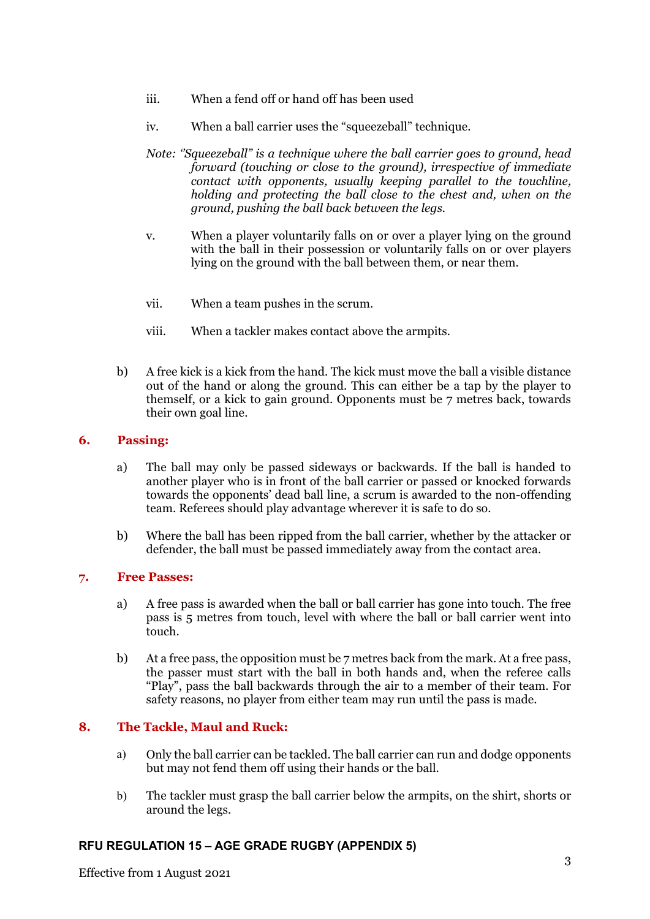- iii. When a fend off or hand off has been used
- iv. When a ball carrier uses the "squeezeball" technique.
- *Note: ''Squeezeball" is a technique where the ball carrier goes to ground, head forward (touching or close to the ground), irrespective of immediate contact with opponents, usually keeping parallel to the touchline, holding and protecting the ball close to the chest and, when on the ground, pushing the ball back between the legs.*
- v. When a player voluntarily falls on or over a player lying on the ground with the ball in their possession or voluntarily falls on or over players lying on the ground with the ball between them, or near them.
- vii. When a team pushes in the scrum.
- viii. When a tackler makes contact above the armpits.
- b) A free kick is a kick from the hand. The kick must move the ball a visible distance out of the hand or along the ground. This can either be a tap by the player to themself, or a kick to gain ground. Opponents must be 7 metres back, towards their own goal line.

### **6. Passing:**

- a) The ball may only be passed sideways or backwards. If the ball is handed to another player who is in front of the ball carrier or passed or knocked forwards towards the opponents' dead ball line, a scrum is awarded to the non-offending team. Referees should play advantage wherever it is safe to do so.
- b) Where the ball has been ripped from the ball carrier, whether by the attacker or defender, the ball must be passed immediately away from the contact area.

### **7. Free Passes:**

- a) A free pass is awarded when the ball or ball carrier has gone into touch. The free pass is 5 metres from touch, level with where the ball or ball carrier went into touch.
- b) At a free pass, the opposition must be 7 metres back from the mark. At a free pass, the passer must start with the ball in both hands and, when the referee calls "Play", pass the ball backwards through the air to a member of their team. For safety reasons, no player from either team may run until the pass is made.

## **8. The Tackle, Maul and Ruck:**

- a) Only the ball carrier can be tackled. The ball carrier can run and dodge opponents but may not fend them off using their hands or the ball.
- b) The tackler must grasp the ball carrier below the armpits, on the shirt, shorts or around the legs.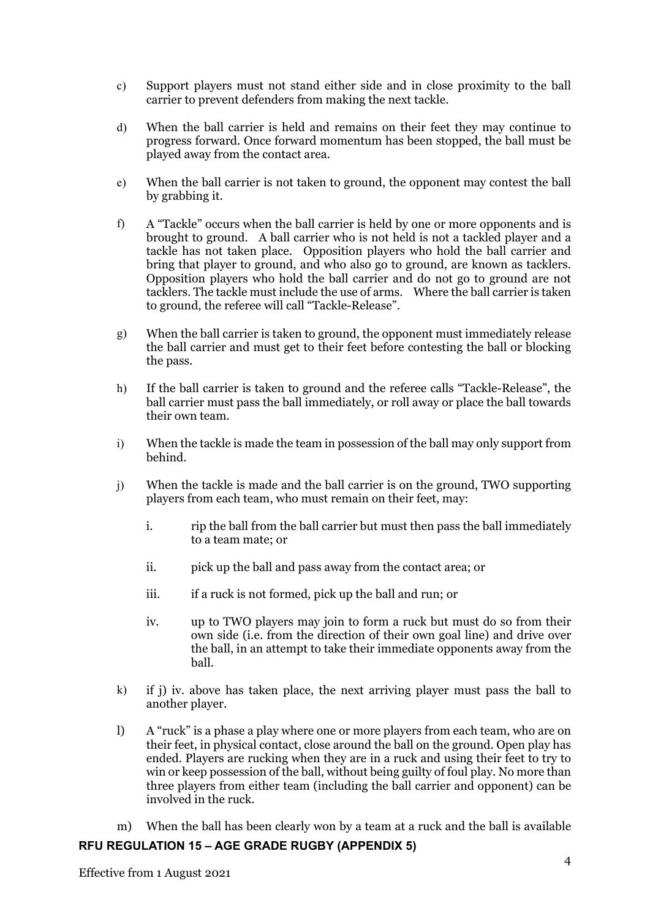- c) Support players must not stand either side and in close proximity to the ball carrier to prevent defenders from making the next tackle.
- d) When the ball carrier is held and remains on their feet they may continue to progress forward. Once forward momentum has been stopped, the ball must be played away from the contact area.
- e) When the ball carrier is not taken to ground, the opponent may contest the ball by grabbing it.
- f) A "Tackle" occurs when the ball carrier is held by one or more opponents and is brought to ground. A ball carrier who is not held is not a tackled player and a tackle has not taken place. Opposition players who hold the ball carrier and bring that player to ground, and who also go to ground, are known as tacklers. Opposition players who hold the ball carrier and do not go to ground are not tacklers. The tackle must include the use of arms. Where the ball carrier is taken to ground, the referee will call "Tackle-Release".
- g) When the ball carrier is taken to ground, the opponent must immediately release the ball carrier and must get to their feet before contesting the ball or blocking the pass.
- h) If the ball carrier is taken to ground and the referee calls "Tackle-Release", the ball carrier must pass the ball immediately, or roll away or place the ball towards their own team.
- i) When the tackle is made the team in possession of the ball may only support from behind.
- j) When the tackle is made and the ball carrier is on the ground, TWO supporting players from each team, who must remain on their feet, may:
	- i. rip the ball from the ball carrier but must then pass the ball immediately to a team mate; or
	- ii. pick up the ball and pass away from the contact area; or
	- iii. if a ruck is not formed, pick up the ball and run; or
	- iv. up to TWO players may join to form a ruck but must do so from their own side (i.e. from the direction of their own goal line) and drive over the ball, in an attempt to take their immediate opponents away from the ball.
- k) if j) iv. above has taken place, the next arriving player must pass the ball to another player.
- l) A "ruck" is a phase a play where one or more players from each team, who are on their feet, in physical contact, close around the ball on the ground. Open play has ended. Players are rucking when they are in a ruck and using their feet to try to win or keep possession of the ball, without being guilty of foul play. No more than three players from either team (including the ball carrier and opponent) can be involved in the ruck.
- m) When the ball has been clearly won by a team at a ruck and the ball is available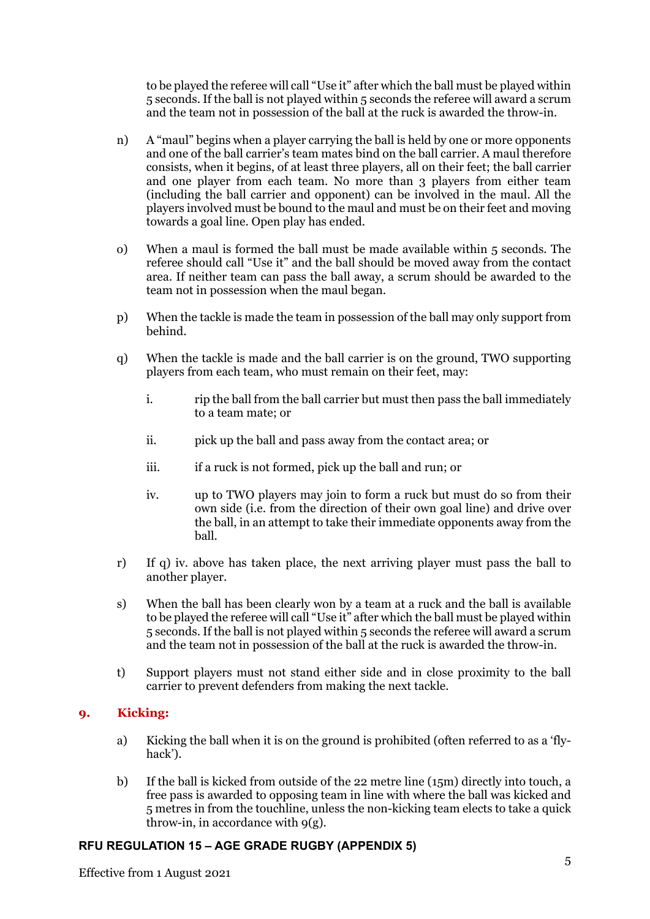to be played the referee will call "Use it" after which the ball must be played within 5 seconds. If the ball is not played within 5 seconds the referee will award a scrum and the team not in possession of the ball at the ruck is awarded the throw-in.

- n) A "maul" begins when a player carrying the ball is held by one or more opponents and one of the ball carrier's team mates bind on the ball carrier. A maul therefore consists, when it begins, of at least three players, all on their feet; the ball carrier and one player from each team. No more than 3 players from either team (including the ball carrier and opponent) can be involved in the maul. All the players involved must be bound to the maul and must be on their feet and moving towards a goal line. Open play has ended.
- o) When a maul is formed the ball must be made available within 5 seconds. The referee should call "Use it" and the ball should be moved away from the contact area. If neither team can pass the ball away, a scrum should be awarded to the team not in possession when the maul began.
- p) When the tackle is made the team in possession of the ball may only support from behind.
- q) When the tackle is made and the ball carrier is on the ground, TWO supporting players from each team, who must remain on their feet, may:
	- i. rip the ball from the ball carrier but must then pass the ball immediately to a team mate; or
	- ii. pick up the ball and pass away from the contact area; or
	- iii. if a ruck is not formed, pick up the ball and run; or
	- iv. up to TWO players may join to form a ruck but must do so from their own side (i.e. from the direction of their own goal line) and drive over the ball, in an attempt to take their immediate opponents away from the ball.
- r) If q) iv. above has taken place, the next arriving player must pass the ball to another player.
- s) When the ball has been clearly won by a team at a ruck and the ball is available to be played the referee will call "Use it" after which the ball must be played within 5 seconds. If the ball is not played within 5 seconds the referee will award a scrum and the team not in possession of the ball at the ruck is awarded the throw-in.
- t) Support players must not stand either side and in close proximity to the ball carrier to prevent defenders from making the next tackle.

## **9. Kicking:**

- a) Kicking the ball when it is on the ground is prohibited (often referred to as a 'flyhack').
- b) If the ball is kicked from outside of the 22 metre line (15m) directly into touch, a free pass is awarded to opposing team in line with where the ball was kicked and 5 metres in from the touchline, unless the non-kicking team elects to take a quick throw-in, in accordance with  $9(g)$ .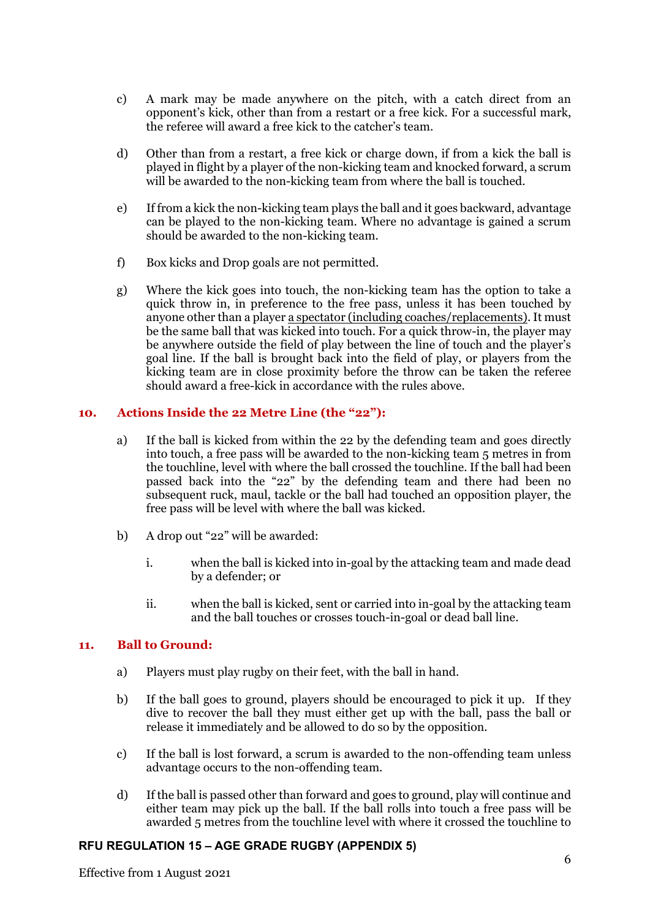- c) A mark may be made anywhere on the pitch, with a catch direct from an opponent's kick, other than from a restart or a free kick. For a successful mark, the referee will award a free kick to the catcher's team.
- d) Other than from a restart, a free kick or charge down, if from a kick the ball is played in flight by a player of the non-kicking team and knocked forward, a scrum will be awarded to the non-kicking team from where the ball is touched.
- e) If from a kick the non-kicking team plays the ball and it goes backward, advantage can be played to the non-kicking team. Where no advantage is gained a scrum should be awarded to the non-kicking team.
- f) Box kicks and Drop goals are not permitted.
- g) Where the kick goes into touch, the non-kicking team has the option to take a quick throw in, in preference to the free pass, unless it has been touched by anyone other than a player a spectator (including coaches/replacements). It must be the same ball that was kicked into touch. For a quick throw-in, the player may be anywhere outside the field of play between the line of touch and the player's goal line. If the ball is brought back into the field of play, or players from the kicking team are in close proximity before the throw can be taken the referee should award a free-kick in accordance with the rules above.

### **10. Actions Inside the 22 Metre Line (the "22"):**

- a) If the ball is kicked from within the 22 by the defending team and goes directly into touch, a free pass will be awarded to the non-kicking team 5 metres in from the touchline, level with where the ball crossed the touchline. If the ball had been passed back into the "22" by the defending team and there had been no subsequent ruck, maul, tackle or the ball had touched an opposition player, the free pass will be level with where the ball was kicked.
- b) A drop out "22" will be awarded:
	- i. when the ball is kicked into in-goal by the attacking team and made dead by a defender; or
	- ii. when the ball is kicked, sent or carried into in-goal by the attacking team and the ball touches or crosses touch-in-goal or dead ball line.

#### **11. Ball to Ground:**

- a) Players must play rugby on their feet, with the ball in hand.
- b) If the ball goes to ground, players should be encouraged to pick it up. If they dive to recover the ball they must either get up with the ball, pass the ball or release it immediately and be allowed to do so by the opposition.
- c) If the ball is lost forward, a scrum is awarded to the non-offending team unless advantage occurs to the non-offending team.
- d) If the ball is passed other than forward and goes to ground, play will continue and either team may pick up the ball. If the ball rolls into touch a free pass will be awarded 5 metres from the touchline level with where it crossed the touchline to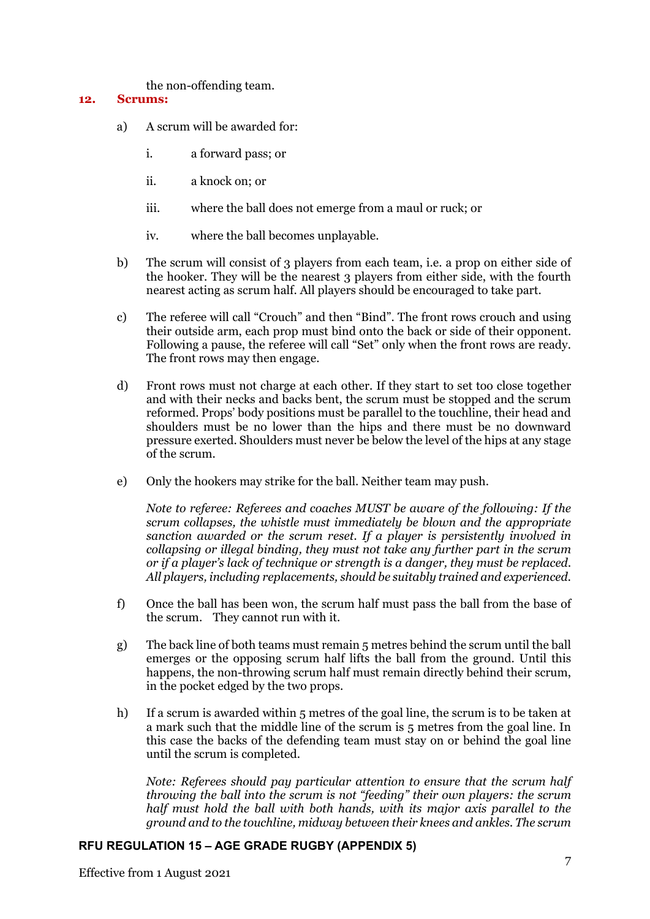the non-offending team.

### **12. Scrums:**

- a) A scrum will be awarded for:
	- i. a forward pass; or
	- ii. a knock on; or
	- iii. where the ball does not emerge from a maul or ruck; or
	- iv. where the ball becomes unplayable.
- b) The scrum will consist of 3 players from each team, i.e. a prop on either side of the hooker. They will be the nearest 3 players from either side, with the fourth nearest acting as scrum half. All players should be encouraged to take part.
- c) The referee will call "Crouch" and then "Bind". The front rows crouch and using their outside arm, each prop must bind onto the back or side of their opponent. Following a pause, the referee will call "Set" only when the front rows are ready. The front rows may then engage.
- d) Front rows must not charge at each other. If they start to set too close together and with their necks and backs bent, the scrum must be stopped and the scrum reformed. Props' body positions must be parallel to the touchline, their head and shoulders must be no lower than the hips and there must be no downward pressure exerted. Shoulders must never be below the level of the hips at any stage of the scrum.
- e) Only the hookers may strike for the ball. Neither team may push.

*Note to referee: Referees and coaches MUST be aware of the following: If the scrum collapses, the whistle must immediately be blown and the appropriate sanction awarded or the scrum reset. If a player is persistently involved in collapsing or illegal binding, they must not take any further part in the scrum or if a player's lack of technique or strength is a danger, they must be replaced. All players, including replacements, should be suitably trained and experienced.*

- f) Once the ball has been won, the scrum half must pass the ball from the base of the scrum. They cannot run with it.
- g) The back line of both teams must remain 5 metres behind the scrum until the ball emerges or the opposing scrum half lifts the ball from the ground. Until this happens, the non-throwing scrum half must remain directly behind their scrum, in the pocket edged by the two props.
- h) If a scrum is awarded within 5 metres of the goal line, the scrum is to be taken at a mark such that the middle line of the scrum is 5 metres from the goal line. In this case the backs of the defending team must stay on or behind the goal line until the scrum is completed.

*Note: Referees should pay particular attention to ensure that the scrum half throwing the ball into the scrum is not "feeding" their own players: the scrum half must hold the ball with both hands, with its major axis parallel to the ground and to the touchline, midway between their knees and ankles. The scrum*